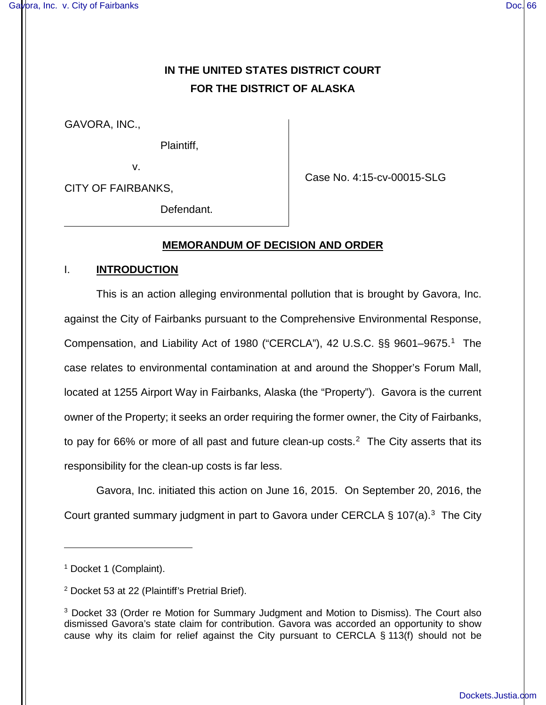# **IN THE UNITED STATES DISTRICT COURT FOR THE DISTRICT OF ALASKA**

GAVORA, INC.,

Plaintiff,

v.

CITY OF FAIRBANKS,

Case No. 4:15-cv-00015-SLG

Defendant.

## **MEMORANDUM OF DECISION AND ORDER**

## I. **INTRODUCTION**

This is an action alleging environmental pollution that is brought by Gavora, Inc. against the City of Fairbanks pursuant to the Comprehensive Environmental Response, Compensation, and Liability Act of [1](#page-0-0)980 ("CERCLA"), 42 U.S.C. §§ 9601-9675.<sup>1</sup> The case relates to environmental contamination at and around the Shopper's Forum Mall, located at 1255 Airport Way in Fairbanks, Alaska (the "Property"). Gavora is the current owner of the Property; it seeks an order requiring the former owner, the City of Fairbanks, to pay for 66% or more of all past and future clean-up costs.<sup>[2](#page-0-1)</sup> The City asserts that its responsibility for the clean-up costs is far less.

Gavora, Inc. initiated this action on June 16, 2015. On September 20, 2016, the Court granted summary judgment in part to Gavora under CERCLA  $\S$  107(a).<sup>[3](#page-0-2)</sup> The City

<u>.</u>

<span id="page-0-0"></span><sup>&</sup>lt;sup>1</sup> Docket 1 (Complaint).

<span id="page-0-1"></span><sup>2</sup> Docket 53 at 22 (Plaintiff's Pretrial Brief).

<span id="page-0-2"></span><sup>3</sup> Docket 33 (Order re Motion for Summary Judgment and Motion to Dismiss). The Court also dismissed Gavora's state claim for contribution. Gavora was accorded an opportunity to show cause why its claim for relief against the City pursuant to CERCLA § 113(f) should not be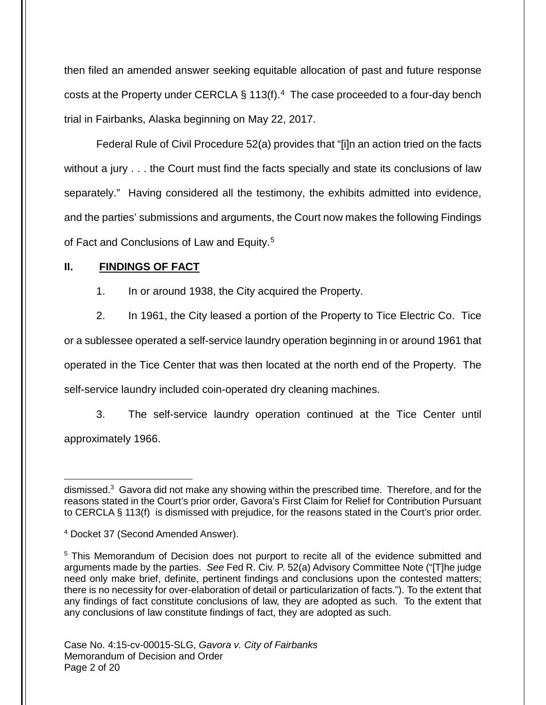then filed an amended answer seeking equitable allocation of past and future response costs at the Property under CERCLA  $\S 113(f)$ .<sup>[4](#page-1-0)</sup> The case proceeded to a four-day bench trial in Fairbanks, Alaska beginning on May 22, 2017.

Federal Rule of Civil Procedure 52(a) provides that "[i]n an action tried on the facts without a jury . . . the Court must find the facts specially and state its conclusions of law separately." Having considered all the testimony, the exhibits admitted into evidence, and the parties' submissions and arguments, the Court now makes the following Findings of Fact and Conclusions of Law and Equity.<sup>[5](#page-1-1)</sup>

## **II. FINDINGS OF FACT**

1. In or around 1938, the City acquired the Property.

2. In 1961, the City leased a portion of the Property to Tice Electric Co. Tice

or a sublessee operated a self-service laundry operation beginning in or around 1961 that operated in the Tice Center that was then located at the north end of the Property. The self-service laundry included coin-operated dry cleaning machines.

3. The self-service laundry operation continued at the Tice Center until approximately 1966.

<sup>1</sup> dismissed.<sup>3</sup> Gavora did not make any showing within the prescribed time. Therefore, and for the reasons stated in the Court's prior order, Gavora's First Claim for Relief for Contribution Pursuant to CERCLA § 113(f) is dismissed with prejudice, for the reasons stated in the Court's prior order.

<span id="page-1-0"></span><sup>4</sup> Docket 37 (Second Amended Answer).

<span id="page-1-1"></span><sup>5</sup> This Memorandum of Decision does not purport to recite all of the evidence submitted and arguments made by the parties. See Fed R. Civ. P. 52(a) Advisory Committee Note ("[T]he judge need only make brief, definite, pertinent findings and conclusions upon the contested matters; there is no necessity for over-elaboration of detail or particularization of facts."). To the extent that any findings of fact constitute conclusions of law, they are adopted as such. To the extent that any conclusions of law constitute findings of fact, they are adopted as such.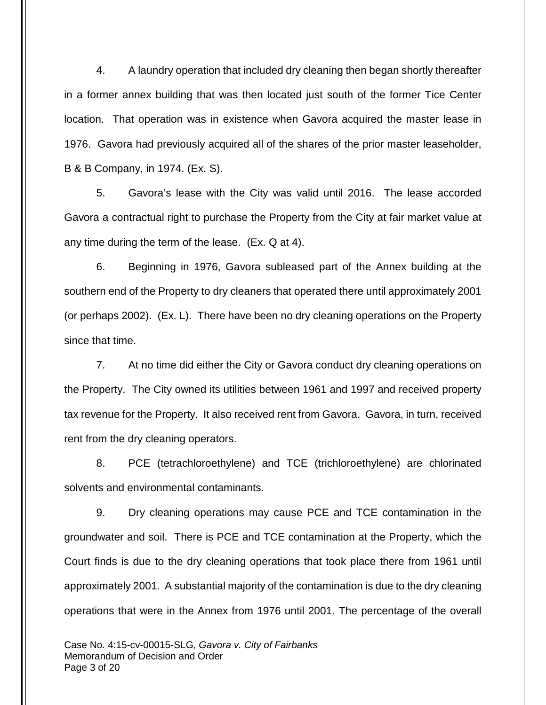4. A laundry operation that included dry cleaning then began shortly thereafter in a former annex building that was then located just south of the former Tice Center location. That operation was in existence when Gavora acquired the master lease in 1976. Gavora had previously acquired all of the shares of the prior master leaseholder, B & B Company, in 1974. (Ex. S).

5. Gavora's lease with the City was valid until 2016. The lease accorded Gavora a contractual right to purchase the Property from the City at fair market value at any time during the term of the lease. (Ex. Q at 4).

6. Beginning in 1976, Gavora subleased part of the Annex building at the southern end of the Property to dry cleaners that operated there until approximately 2001 (or perhaps 2002). (Ex. L). There have been no dry cleaning operations on the Property since that time.

7. At no time did either the City or Gavora conduct dry cleaning operations on the Property. The City owned its utilities between 1961 and 1997 and received property tax revenue for the Property. It also received rent from Gavora. Gavora, in turn, received rent from the dry cleaning operators.

8. PCE (tetrachloroethylene) and TCE (trichloroethylene) are chlorinated solvents and environmental contaminants.

9. Dry cleaning operations may cause PCE and TCE contamination in the groundwater and soil. There is PCE and TCE contamination at the Property, which the Court finds is due to the dry cleaning operations that took place there from 1961 until approximately 2001. A substantial majority of the contamination is due to the dry cleaning operations that were in the Annex from 1976 until 2001. The percentage of the overall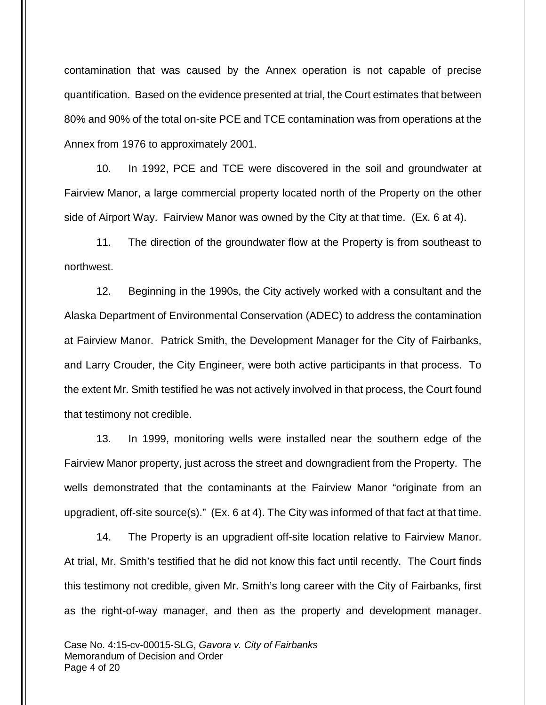contamination that was caused by the Annex operation is not capable of precise quantification. Based on the evidence presented at trial, the Court estimates that between 80% and 90% of the total on-site PCE and TCE contamination was from operations at the Annex from 1976 to approximately 2001.

10. In 1992, PCE and TCE were discovered in the soil and groundwater at Fairview Manor, a large commercial property located north of the Property on the other side of Airport Way. Fairview Manor was owned by the City at that time. (Ex. 6 at 4).

11. The direction of the groundwater flow at the Property is from southeast to northwest.

12. Beginning in the 1990s, the City actively worked with a consultant and the Alaska Department of Environmental Conservation (ADEC) to address the contamination at Fairview Manor. Patrick Smith, the Development Manager for the City of Fairbanks, and Larry Crouder, the City Engineer, were both active participants in that process. To the extent Mr. Smith testified he was not actively involved in that process, the Court found that testimony not credible.

13. In 1999, monitoring wells were installed near the southern edge of the Fairview Manor property, just across the street and downgradient from the Property. The wells demonstrated that the contaminants at the Fairview Manor "originate from an upgradient, off-site source(s)." (Ex. 6 at 4). The City was informed of that fact at that time.

14. The Property is an upgradient off-site location relative to Fairview Manor. At trial, Mr. Smith's testified that he did not know this fact until recently. The Court finds this testimony not credible, given Mr. Smith's long career with the City of Fairbanks, first as the right-of-way manager, and then as the property and development manager.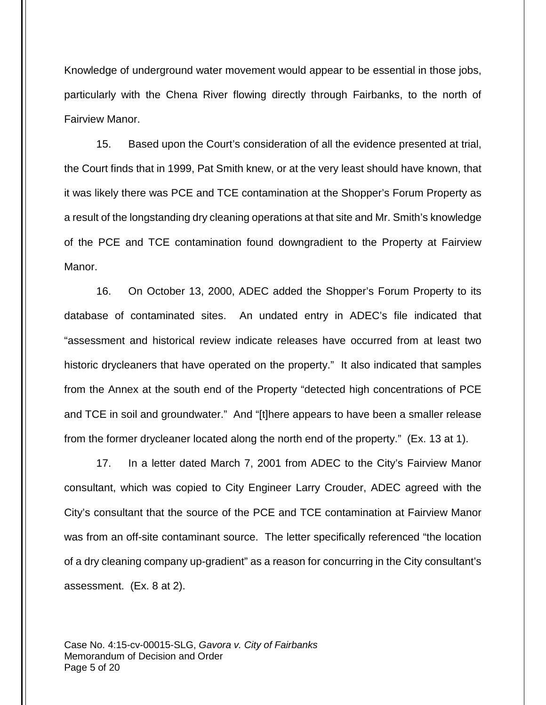Knowledge of underground water movement would appear to be essential in those jobs, particularly with the Chena River flowing directly through Fairbanks, to the north of Fairview Manor.

15. Based upon the Court's consideration of all the evidence presented at trial, the Court finds that in 1999, Pat Smith knew, or at the very least should have known, that it was likely there was PCE and TCE contamination at the Shopper's Forum Property as a result of the longstanding dry cleaning operations at that site and Mr. Smith's knowledge of the PCE and TCE contamination found downgradient to the Property at Fairview Manor.

16. On October 13, 2000, ADEC added the Shopper's Forum Property to its database of contaminated sites. An undated entry in ADEC's file indicated that "assessment and historical review indicate releases have occurred from at least two historic drycleaners that have operated on the property." It also indicated that samples from the Annex at the south end of the Property "detected high concentrations of PCE and TCE in soil and groundwater." And "[t]here appears to have been a smaller release from the former drycleaner located along the north end of the property." (Ex. 13 at 1).

17. In a letter dated March 7, 2001 from ADEC to the City's Fairview Manor consultant, which was copied to City Engineer Larry Crouder, ADEC agreed with the City's consultant that the source of the PCE and TCE contamination at Fairview Manor was from an off-site contaminant source. The letter specifically referenced "the location of a dry cleaning company up-gradient" as a reason for concurring in the City consultant's assessment. (Ex. 8 at 2).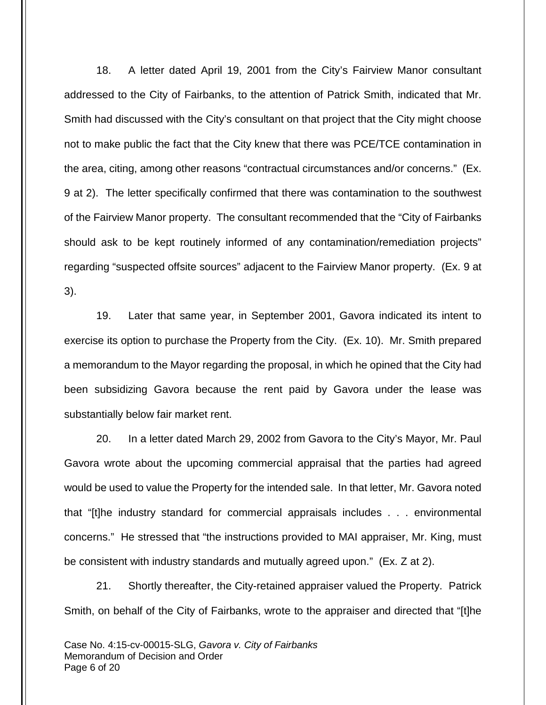18. A letter dated April 19, 2001 from the City's Fairview Manor consultant addressed to the City of Fairbanks, to the attention of Patrick Smith, indicated that Mr. Smith had discussed with the City's consultant on that project that the City might choose not to make public the fact that the City knew that there was PCE/TCE contamination in the area, citing, among other reasons "contractual circumstances and/or concerns." (Ex. 9 at 2). The letter specifically confirmed that there was contamination to the southwest of the Fairview Manor property. The consultant recommended that the "City of Fairbanks should ask to be kept routinely informed of any contamination/remediation projects" regarding "suspected offsite sources" adjacent to the Fairview Manor property. (Ex. 9 at 3).

19. Later that same year, in September 2001, Gavora indicated its intent to exercise its option to purchase the Property from the City. (Ex. 10). Mr. Smith prepared a memorandum to the Mayor regarding the proposal, in which he opined that the City had been subsidizing Gavora because the rent paid by Gavora under the lease was substantially below fair market rent.

20. In a letter dated March 29, 2002 from Gavora to the City's Mayor, Mr. Paul Gavora wrote about the upcoming commercial appraisal that the parties had agreed would be used to value the Property for the intended sale. In that letter, Mr. Gavora noted that "[t]he industry standard for commercial appraisals includes . . . environmental concerns." He stressed that "the instructions provided to MAI appraiser, Mr. King, must be consistent with industry standards and mutually agreed upon." (Ex. Z at 2).

21. Shortly thereafter, the City-retained appraiser valued the Property. Patrick Smith, on behalf of the City of Fairbanks, wrote to the appraiser and directed that "[t]he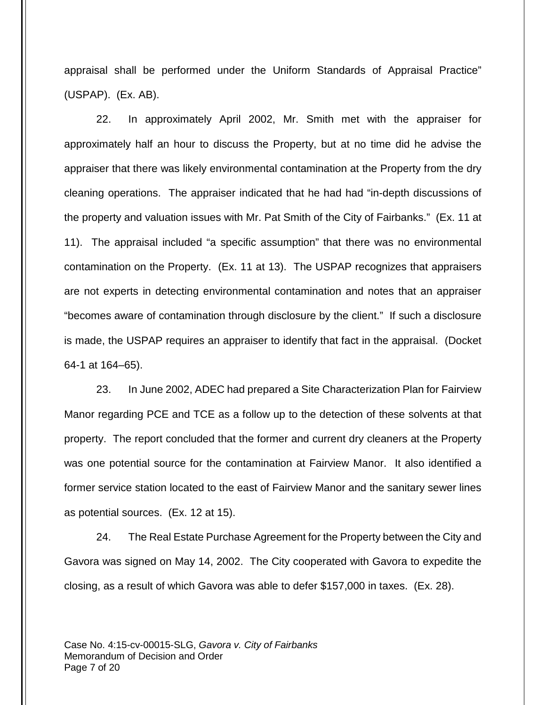appraisal shall be performed under the Uniform Standards of Appraisal Practice" (USPAP). (Ex. AB).

22. In approximately April 2002, Mr. Smith met with the appraiser for approximately half an hour to discuss the Property, but at no time did he advise the appraiser that there was likely environmental contamination at the Property from the dry cleaning operations. The appraiser indicated that he had had "in-depth discussions of the property and valuation issues with Mr. Pat Smith of the City of Fairbanks." (Ex. 11 at 11). The appraisal included "a specific assumption" that there was no environmental contamination on the Property. (Ex. 11 at 13). The USPAP recognizes that appraisers are not experts in detecting environmental contamination and notes that an appraiser "becomes aware of contamination through disclosure by the client." If such a disclosure is made, the USPAP requires an appraiser to identify that fact in the appraisal. (Docket 64-1 at 164–65).

23. In June 2002, ADEC had prepared a Site Characterization Plan for Fairview Manor regarding PCE and TCE as a follow up to the detection of these solvents at that property. The report concluded that the former and current dry cleaners at the Property was one potential source for the contamination at Fairview Manor. It also identified a former service station located to the east of Fairview Manor and the sanitary sewer lines as potential sources. (Ex. 12 at 15).

24. The Real Estate Purchase Agreement for the Property between the City and Gavora was signed on May 14, 2002. The City cooperated with Gavora to expedite the closing, as a result of which Gavora was able to defer \$157,000 in taxes. (Ex. 28).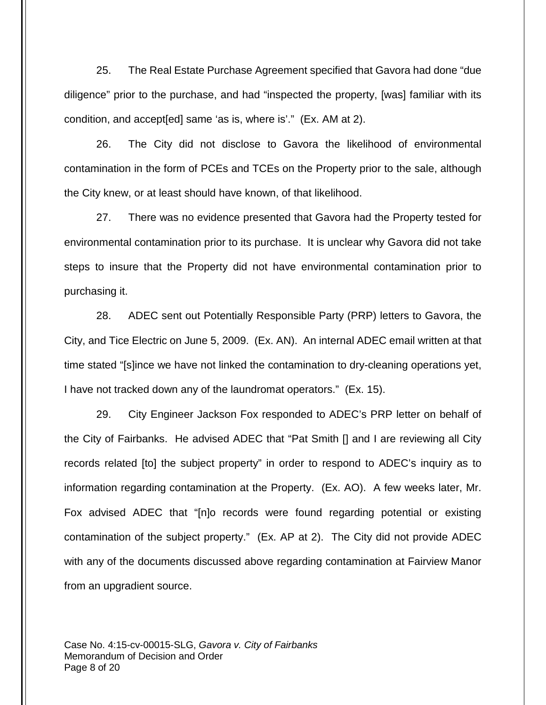25. The Real Estate Purchase Agreement specified that Gavora had done "due diligence" prior to the purchase, and had "inspected the property, [was] familiar with its condition, and accept[ed] same 'as is, where is'." (Ex. AM at 2).

26. The City did not disclose to Gavora the likelihood of environmental contamination in the form of PCEs and TCEs on the Property prior to the sale, although the City knew, or at least should have known, of that likelihood.

27. There was no evidence presented that Gavora had the Property tested for environmental contamination prior to its purchase. It is unclear why Gavora did not take steps to insure that the Property did not have environmental contamination prior to purchasing it.

28. ADEC sent out Potentially Responsible Party (PRP) letters to Gavora, the City, and Tice Electric on June 5, 2009. (Ex. AN). An internal ADEC email written at that time stated "[s]ince we have not linked the contamination to dry-cleaning operations yet, I have not tracked down any of the laundromat operators." (Ex. 15).

29. City Engineer Jackson Fox responded to ADEC's PRP letter on behalf of the City of Fairbanks. He advised ADEC that "Pat Smith [] and I are reviewing all City records related [to] the subject property" in order to respond to ADEC's inquiry as to information regarding contamination at the Property. (Ex. AO). A few weeks later, Mr. Fox advised ADEC that "[n]o records were found regarding potential or existing contamination of the subject property." (Ex. AP at 2). The City did not provide ADEC with any of the documents discussed above regarding contamination at Fairview Manor from an upgradient source.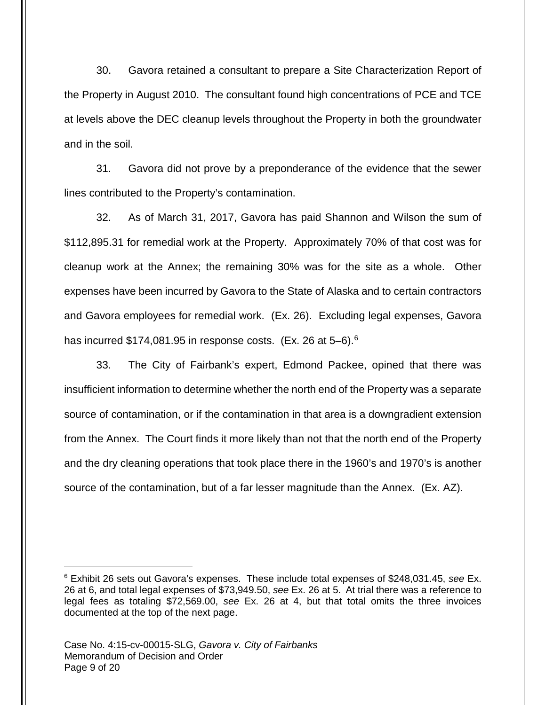30. Gavora retained a consultant to prepare a Site Characterization Report of the Property in August 2010. The consultant found high concentrations of PCE and TCE at levels above the DEC cleanup levels throughout the Property in both the groundwater and in the soil.

31. Gavora did not prove by a preponderance of the evidence that the sewer lines contributed to the Property's contamination.

32. As of March 31, 2017, Gavora has paid Shannon and Wilson the sum of \$112,895.31 for remedial work at the Property. Approximately 70% of that cost was for cleanup work at the Annex; the remaining 30% was for the site as a whole. Other expenses have been incurred by Gavora to the State of Alaska and to certain contractors and Gavora employees for remedial work. (Ex. 26). Excluding legal expenses, Gavora has incurred \$174,081.95 in response costs. (Ex. 2[6](#page-8-0) at 5–6).<sup>6</sup>

33. The City of Fairbank's expert, Edmond Packee, opined that there was insufficient information to determine whether the north end of the Property was a separate source of contamination, or if the contamination in that area is a downgradient extension from the Annex. The Court finds it more likely than not that the north end of the Property and the dry cleaning operations that took place there in the 1960's and 1970's is another source of the contamination, but of a far lesser magnitude than the Annex. (Ex. AZ).

<span id="page-8-0"></span> $6$  Exhibit 26 sets out Gavora's expenses. These include total expenses of \$248,031.45, see Ex. 26 at 6, and total legal expenses of \$73,949.50, see Ex. 26 at 5. At trial there was a reference to legal fees as totaling \$72,569.00, see Ex. 26 at 4, but that total omits the three invoices documented at the top of the next page.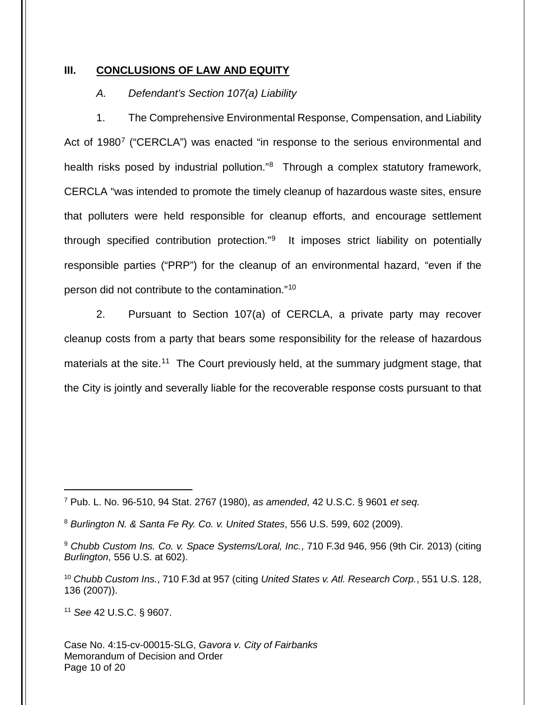#### **III. CONCLUSIONS OF LAW AND EQUITY**

### A. Defendant's Section 107(a) Liability

1. The Comprehensive Environmental Response, Compensation, and Liability Act of 1980<sup>[7](#page-9-0)</sup> ("CERCLA") was enacted "in response to the serious environmental and health risks posed by industrial pollution."<sup>[8](#page-9-1)</sup> Through a complex statutory framework, CERCLA "was intended to promote the timely cleanup of hazardous waste sites, ensure that polluters were held responsible for cleanup efforts, and encourage settlement through specified contribution protection."<sup>[9](#page-9-2)</sup> It imposes strict liability on potentially responsible parties ("PRP") for the cleanup of an environmental hazard, "even if the person did not contribute to the contamination."[10](#page-9-3)

2. Pursuant to Section 107(a) of CERCLA, a private party may recover cleanup costs from a party that bears some responsibility for the release of hazardous materials at the site.<sup>[11](#page-9-4)</sup> The Court previously held, at the summary judgment stage, that the City is jointly and severally liable for the recoverable response costs pursuant to that

<span id="page-9-4"></span><sup>11</sup> See 42 U.S.C. § 9607.

<span id="page-9-0"></span> $7$  Pub. L. No. 96-510, 94 Stat. 2767 (1980), as amended, 42 U.S.C. § 9601 et seq.

<span id="page-9-1"></span><sup>8</sup> Burlington N. & Santa Fe Ry. Co. v. United States, 556 U.S. 599, 602 (2009).

<span id="page-9-2"></span><sup>&</sup>lt;sup>9</sup> Chubb Custom Ins. Co. v. Space Systems/Loral, Inc., 710 F.3d 946, 956 (9th Cir. 2013) (citing Burlington, 556 U.S. at 602).

<span id="page-9-3"></span><sup>&</sup>lt;sup>10</sup> Chubb Custom Ins., 710 F.3d at 957 (citing United States v. Atl. Research Corp., 551 U.S. 128, 136 (2007)).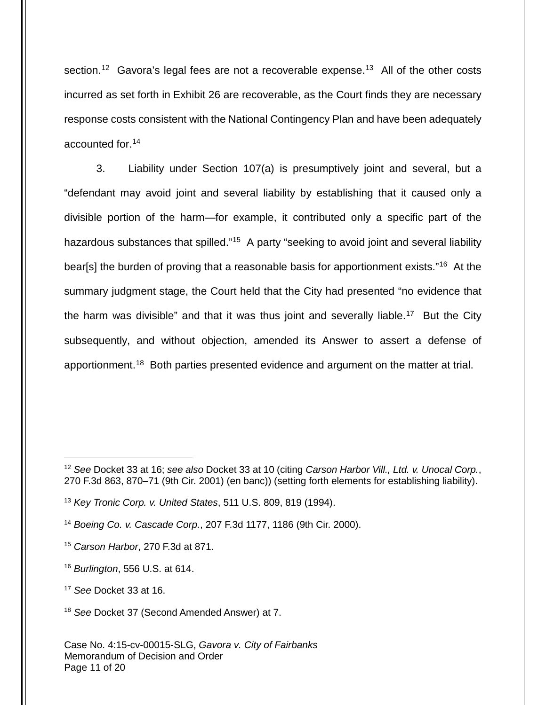section.<sup>[12](#page-10-0)</sup> Gavora's legal fees are not a recoverable expense.<sup>[13](#page-10-1)</sup> All of the other costs incurred as set forth in Exhibit 26 are recoverable, as the Court finds they are necessary response costs consistent with the National Contingency Plan and have been adequately accounted for.[14](#page-10-2)

3. Liability under Section 107(a) is presumptively joint and several, but a "defendant may avoid joint and several liability by establishing that it caused only a divisible portion of the harm—for example, it contributed only a specific part of the hazardous substances that spilled."<sup>[15](#page-10-3)</sup> A party "seeking to avoid joint and several liability bear[s] the burden of proving that a reasonable basis for apportionment exists."<sup>[16](#page-10-4)</sup> At the summary judgment stage, the Court held that the City had presented "no evidence that the harm was divisible" and that it was thus joint and severally liable.<sup>[17](#page-10-5)</sup> But the City subsequently, and without objection, amended its Answer to assert a defense of apportionment.<sup>[18](#page-10-6)</sup> Both parties presented evidence and argument on the matter at trial.

<span id="page-10-0"></span><sup>&</sup>lt;sup>12</sup> See Docket 33 at 16; see also Docket 33 at 10 (citing Carson Harbor Vill., Ltd. v. Unocal Corp., 270 F.3d 863, 870–71 (9th Cir. 2001) (en banc)) (setting forth elements for establishing liability).

<span id="page-10-1"></span><sup>13</sup> Key Tronic Corp. v. United States, 511 U.S. 809, 819 (1994).

<span id="page-10-2"></span><sup>14</sup> Boeing Co. v. Cascade Corp., 207 F.3d 1177, 1186 (9th Cir. 2000).

<span id="page-10-3"></span><sup>&</sup>lt;sup>15</sup> Carson Harbor, 270 F.3d at 871.

<span id="page-10-4"></span> $16$  Burlington, 556 U.S. at 614.

<span id="page-10-5"></span><sup>17</sup> See Docket 33 at 16.

<span id="page-10-6"></span><sup>&</sup>lt;sup>18</sup> See Docket 37 (Second Amended Answer) at 7.

Case No. 4:15-cv-00015-SLG, Gavora v. City of Fairbanks Memorandum of Decision and Order Page 11 of 20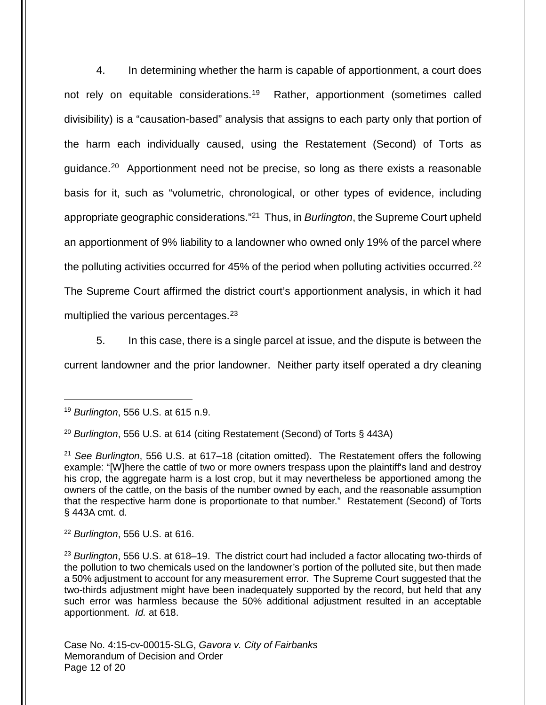4. In determining whether the harm is capable of apportionment, a court does not rely on equitable considerations.<sup>[19](#page-11-0)</sup> Rather, apportionment (sometimes called divisibility) is a "causation-based" analysis that assigns to each party only that portion of the harm each individually caused, using the Restatement (Second) of Torts as guidance.<sup>[20](#page-11-1)</sup> Apportionment need not be precise, so long as there exists a reasonable basis for it, such as "volumetric, chronological, or other types of evidence, including appropriate geographic considerations."<sup>[21](#page-11-2)</sup> Thus, in Burlington, the Supreme Court upheld an apportionment of 9% liability to a landowner who owned only 19% of the parcel where the polluting activities occurred for 45% of the period when polluting activities occurred.<sup>[22](#page-11-3)</sup> The Supreme Court affirmed the district court's apportionment analysis, in which it had multiplied the various percentages.<sup>[23](#page-11-4)</sup>

5. In this case, there is a single parcel at issue, and the dispute is between the current landowner and the prior landowner. Neither party itself operated a dry cleaning

<span id="page-11-0"></span><sup>&</sup>lt;sup>19</sup> Burlington, 556 U.S. at 615 n.9.

<span id="page-11-1"></span><sup>&</sup>lt;sup>20</sup> Burlington, 556 U.S. at 614 (citing Restatement (Second) of Torts § 443A)

<span id="page-11-2"></span> $21$  See Burlington, 556 U.S. at 617-18 (citation omitted). The Restatement offers the following example: "[W]here the cattle of two or more owners trespass upon the plaintiff's land and destroy his crop, the aggregate harm is a lost crop, but it may nevertheless be apportioned among the owners of the cattle, on the basis of the number owned by each, and the reasonable assumption that the respective harm done is proportionate to that number." Restatement (Second) of Torts § 443A cmt. d.

<span id="page-11-3"></span> $22$  Burlington, 556 U.S. at 616.

<span id="page-11-4"></span> $^{23}$  Burlington, 556 U.S. at 618–19. The district court had included a factor allocating two-thirds of the pollution to two chemicals used on the landowner's portion of the polluted site, but then made a 50% adjustment to account for any measurement error. The Supreme Court suggested that the two-thirds adjustment might have been inadequately supported by the record, but held that any such error was harmless because the 50% additional adjustment resulted in an acceptable apportionment. Id. at 618.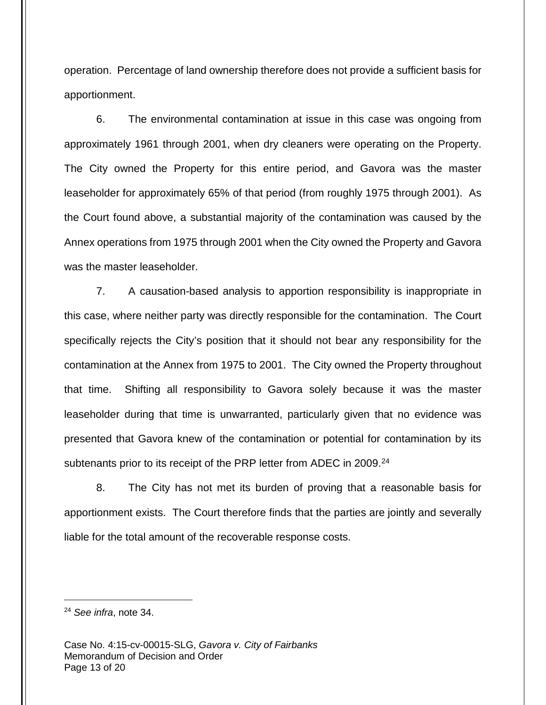operation. Percentage of land ownership therefore does not provide a sufficient basis for apportionment.

6. The environmental contamination at issue in this case was ongoing from approximately 1961 through 2001, when dry cleaners were operating on the Property. The City owned the Property for this entire period, and Gavora was the master leaseholder for approximately 65% of that period (from roughly 1975 through 2001). As the Court found above, a substantial majority of the contamination was caused by the Annex operations from 1975 through 2001 when the City owned the Property and Gavora was the master leaseholder.

7. A causation-based analysis to apportion responsibility is inappropriate in this case, where neither party was directly responsible for the contamination. The Court specifically rejects the City's position that it should not bear any responsibility for the contamination at the Annex from 1975 to 2001. The City owned the Property throughout that time. Shifting all responsibility to Gavora solely because it was the master leaseholder during that time is unwarranted, particularly given that no evidence was presented that Gavora knew of the contamination or potential for contamination by its subtenants prior to its receipt of the PRP letter from ADEC in 2009.<sup>[24](#page-12-0)</sup>

8. The City has not met its burden of proving that a reasonable basis for apportionment exists. The Court therefore finds that the parties are jointly and severally liable for the total amount of the recoverable response costs.

<span id="page-12-0"></span><sup>&</sup>lt;sup>24</sup> See infra, note [34.](#page-15-0)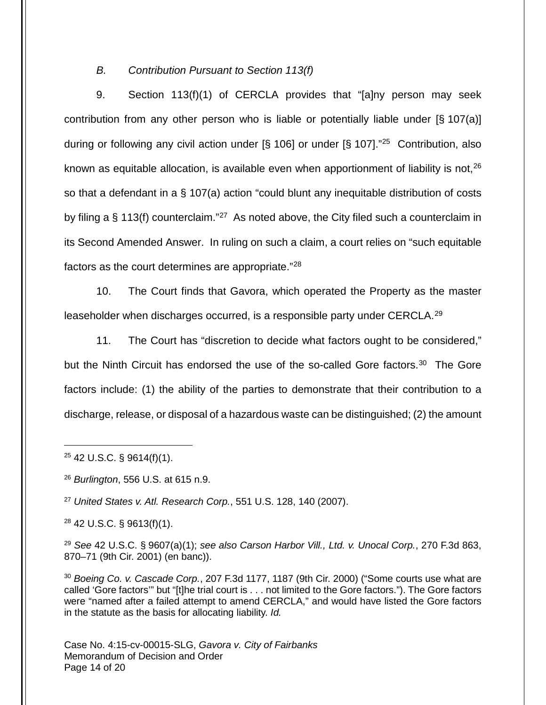#### B. Contribution Pursuant to Section 113(f)

9. Section 113(f)(1) of CERCLA provides that "[a]ny person may seek contribution from any other person who is liable or potentially liable under [§ 107(a)] during or following any civil action under [§ 106] or under [§ 107]."<sup>[25](#page-13-0)</sup> Contribution, also known as equitable allocation, is available even when apportionment of liability is not,  $26$ so that a defendant in a § 107(a) action "could blunt any inequitable distribution of costs by filing a § 113(f) counterclaim."<sup>[27](#page-13-2)</sup> As noted above, the City filed such a counterclaim in its Second Amended Answer. In ruling on such a claim, a court relies on "such equitable factors as the court determines are appropriate."[28](#page-13-3)

10. The Court finds that Gavora, which operated the Property as the master leaseholder when discharges occurred, is a responsible party under CERCLA.<sup>[29](#page-13-4)</sup>

11. The Court has "discretion to decide what factors ought to be considered," but the Ninth Circuit has endorsed the use of the so-called Gore factors.<sup>[30](#page-13-5)</sup> The Gore factors include: (1) the ability of the parties to demonstrate that their contribution to a discharge, release, or disposal of a hazardous waste can be distinguished; (2) the amount

<span id="page-13-0"></span> $25$  42 U.S.C. § 9614(f)(1).

 $\overline{a}$ 

<span id="page-13-1"></span><sup>26</sup> Burlington, 556 U.S. at 615 n.9.

<span id="page-13-2"></span> $27$  United States v. Atl. Research Corp., 551 U.S. 128, 140 (2007).

<span id="page-13-3"></span><sup>28</sup> 42 U.S.C. § 9613(f)(1).

<span id="page-13-4"></span> $29$  See 42 U.S.C. § 9607(a)(1); see also Carson Harbor Vill., Ltd. v. Unocal Corp., 270 F.3d 863, 870–71 (9th Cir. 2001) (en banc)).

<span id="page-13-5"></span> $30$  Boeing Co. v. Cascade Corp., 207 F.3d 1177, 1187 (9th Cir. 2000) ("Some courts use what are called 'Gore factors'" but "[t]he trial court is . . . not limited to the Gore factors."). The Gore factors were "named after a failed attempt to amend CERCLA," and would have listed the Gore factors in the statute as the basis for allocating liability. Id.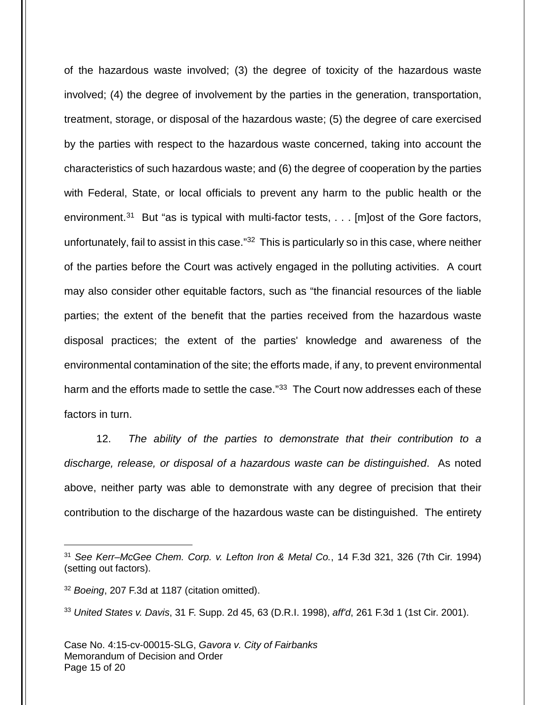of the hazardous waste involved; (3) the degree of toxicity of the hazardous waste involved; (4) the degree of involvement by the parties in the generation, transportation, treatment, storage, or disposal of the hazardous waste; (5) the degree of care exercised by the parties with respect to the hazardous waste concerned, taking into account the characteristics of such hazardous waste; and (6) the degree of cooperation by the parties with Federal, State, or local officials to prevent any harm to the public health or the environment.<sup>[31](#page-14-0)</sup> But "as is typical with multi-factor tests, . . . [m]ost of the Gore factors, unfortunately, fail to assist in this case."<sup>[32](#page-14-1)</sup> This is particularly so in this case, where neither of the parties before the Court was actively engaged in the polluting activities. A court may also consider other equitable factors, such as "the financial resources of the liable parties; the extent of the benefit that the parties received from the hazardous waste disposal practices; the extent of the parties' knowledge and awareness of the environmental contamination of the site; the efforts made, if any, to prevent environmental harm and the efforts made to settle the case."<sup>[33](#page-14-2)</sup> The Court now addresses each of these factors in turn.

12. The ability of the parties to demonstrate that their contribution to a discharge, release, or disposal of a hazardous waste can be distinguished. As noted above, neither party was able to demonstrate with any degree of precision that their contribution to the discharge of the hazardous waste can be distinguished. The entirety

<span id="page-14-0"></span><sup>&</sup>lt;sup>31</sup> See Kerr–McGee Chem. Corp. v. Lefton Iron & Metal Co., 14 F.3d 321, 326 (7th Cir. 1994) (setting out factors).

<span id="page-14-1"></span><sup>&</sup>lt;sup>32</sup> Boeing, 207 F.3d at 1187 (citation omitted).

<span id="page-14-2"></span><sup>33</sup> United States v. Davis, 31 F. Supp. 2d 45, 63 (D.R.I. 1998), aff'd, 261 F.3d 1 (1st Cir. 2001).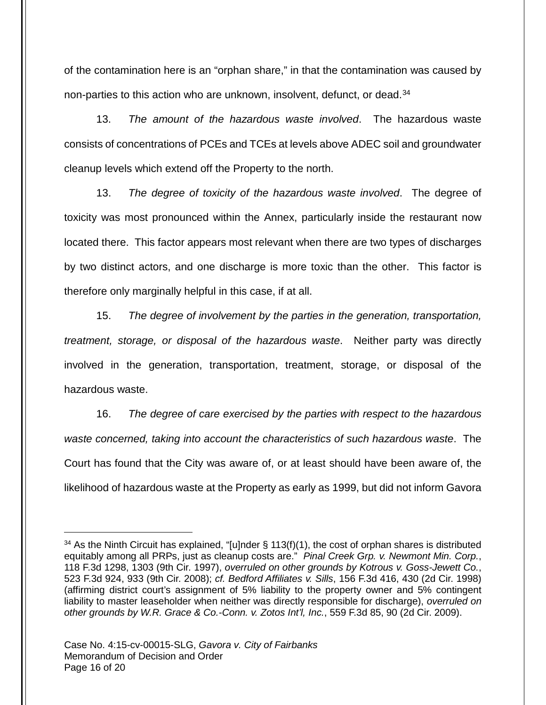<span id="page-15-0"></span>of the contamination here is an "orphan share," in that the contamination was caused by non-parties to this action who are unknown, insolvent, defunct, or dead. [34](#page-15-1)

13. The amount of the hazardous waste involved. The hazardous waste consists of concentrations of PCEs and TCEs at levels above ADEC soil and groundwater cleanup levels which extend off the Property to the north.

13. The degree of toxicity of the hazardous waste involved. The degree of toxicity was most pronounced within the Annex, particularly inside the restaurant now located there. This factor appears most relevant when there are two types of discharges by two distinct actors, and one discharge is more toxic than the other. This factor is therefore only marginally helpful in this case, if at all.

15. The degree of involvement by the parties in the generation, transportation, treatment, storage, or disposal of the hazardous waste. Neither party was directly involved in the generation, transportation, treatment, storage, or disposal of the hazardous waste.

16. The degree of care exercised by the parties with respect to the hazardous waste concerned, taking into account the characteristics of such hazardous waste. The Court has found that the City was aware of, or at least should have been aware of, the likelihood of hazardous waste at the Property as early as 1999, but did not inform Gavora

<span id="page-15-1"></span> $34$  As the Ninth Circuit has explained, "[u]nder § 113(f)(1), the cost of orphan shares is distributed equitably among all PRPs, just as cleanup costs are." Pinal Creek Grp. v. Newmont Min. Corp., 118 F.3d 1298, 1303 (9th Cir. 1997), overruled on other grounds by Kotrous v. Goss-Jewett Co., 523 F.3d 924, 933 (9th Cir. 2008); cf. Bedford Affiliates v. Sills, 156 F.3d 416, 430 (2d Cir. 1998) (affirming district court's assignment of 5% liability to the property owner and 5% contingent liability to master leaseholder when neither was directly responsible for discharge), overruled on other grounds by W.R. Grace & Co.-Conn. v. Zotos Int'l, Inc., 559 F.3d 85, 90 (2d Cir. 2009).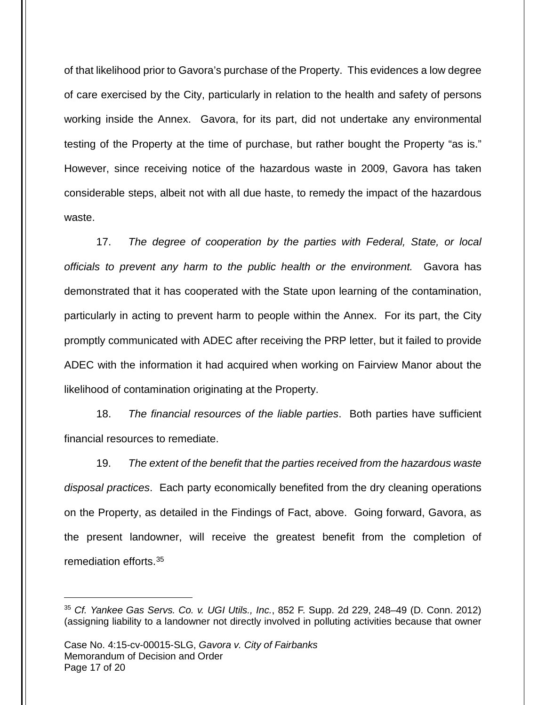of that likelihood prior to Gavora's purchase of the Property. This evidences a low degree of care exercised by the City, particularly in relation to the health and safety of persons working inside the Annex. Gavora, for its part, did not undertake any environmental testing of the Property at the time of purchase, but rather bought the Property "as is." However, since receiving notice of the hazardous waste in 2009, Gavora has taken considerable steps, albeit not with all due haste, to remedy the impact of the hazardous waste.

17. The degree of cooperation by the parties with Federal, State, or local officials to prevent any harm to the public health or the environment. Gavora has demonstrated that it has cooperated with the State upon learning of the contamination, particularly in acting to prevent harm to people within the Annex. For its part, the City promptly communicated with ADEC after receiving the PRP letter, but it failed to provide ADEC with the information it had acquired when working on Fairview Manor about the likelihood of contamination originating at the Property.

18. The financial resources of the liable parties. Both parties have sufficient financial resources to remediate.

19. The extent of the benefit that the parties received from the hazardous waste disposal practices. Each party economically benefited from the dry cleaning operations on the Property, as detailed in the Findings of Fact, above. Going forward, Gavora, as the present landowner, will receive the greatest benefit from the completion of remediation efforts.[35](#page-16-0)

<span id="page-16-0"></span> $35$  Cf. Yankee Gas Servs. Co. v. UGI Utils., Inc., 852 F. Supp. 2d 229, 248-49 (D. Conn. 2012) (assigning liability to a landowner not directly involved in polluting activities because that owner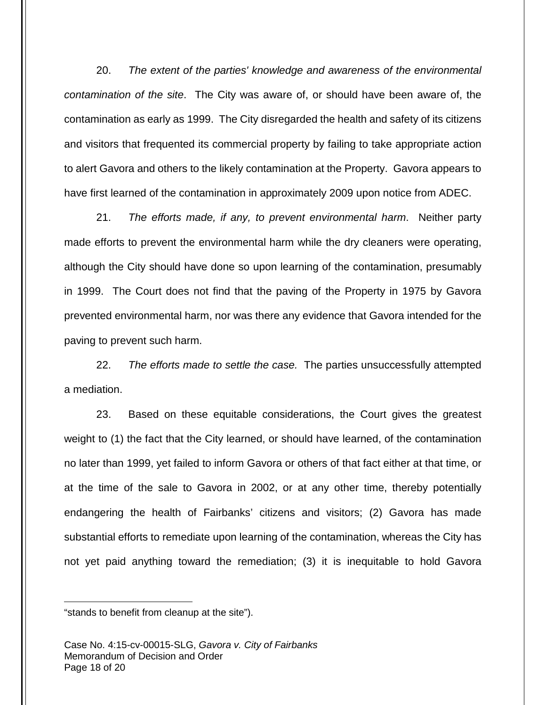20. The extent of the parties' knowledge and awareness of the environmental contamination of the site. The City was aware of, or should have been aware of, the contamination as early as 1999. The City disregarded the health and safety of its citizens and visitors that frequented its commercial property by failing to take appropriate action to alert Gavora and others to the likely contamination at the Property. Gavora appears to have first learned of the contamination in approximately 2009 upon notice from ADEC.

21. The efforts made, if any, to prevent environmental harm. Neither party made efforts to prevent the environmental harm while the dry cleaners were operating, although the City should have done so upon learning of the contamination, presumably in 1999. The Court does not find that the paving of the Property in 1975 by Gavora prevented environmental harm, nor was there any evidence that Gavora intended for the paving to prevent such harm.

22. The efforts made to settle the case. The parties unsuccessfully attempted a mediation.

23. Based on these equitable considerations, the Court gives the greatest weight to (1) the fact that the City learned, or should have learned, of the contamination no later than 1999, yet failed to inform Gavora or others of that fact either at that time, or at the time of the sale to Gavora in 2002, or at any other time, thereby potentially endangering the health of Fairbanks' citizens and visitors; (2) Gavora has made substantial efforts to remediate upon learning of the contamination, whereas the City has not yet paid anything toward the remediation; (3) it is inequitable to hold Gavora

<sup>&</sup>quot;stands to benefit from cleanup at the site").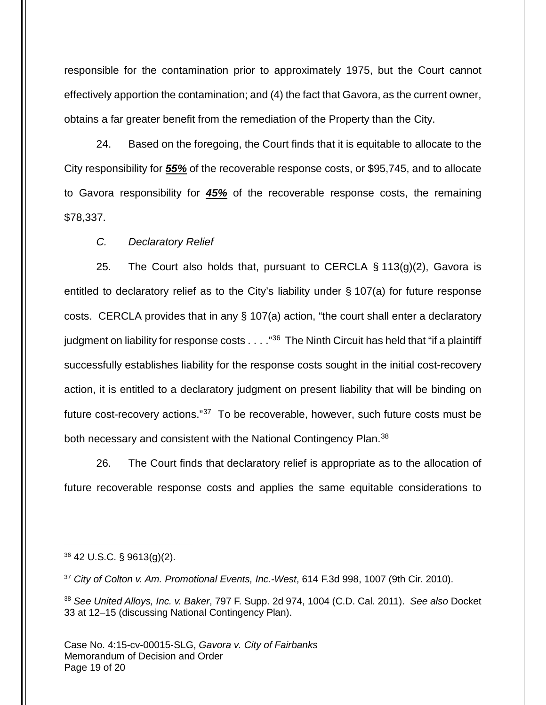responsible for the contamination prior to approximately 1975, but the Court cannot effectively apportion the contamination; and (4) the fact that Gavora, as the current owner, obtains a far greater benefit from the remediation of the Property than the City.

24. Based on the foregoing, the Court finds that it is equitable to allocate to the City responsibility for **55%** of the recoverable response costs, or \$95,745, and to allocate to Gavora responsibility for **45%** of the recoverable response costs, the remaining \$78,337.

C. Declaratory Relief

25. The Court also holds that, pursuant to CERCLA  $\S$  113(g)(2), Gavora is entitled to declaratory relief as to the City's liability under § 107(a) for future response costs. CERCLA provides that in any § 107(a) action, "the court shall enter a declaratory judgment on liability for response costs . . . ."<sup>[36](#page-18-0)</sup> The Ninth Circuit has held that "if a plaintiff successfully establishes liability for the response costs sought in the initial cost-recovery action, it is entitled to a declaratory judgment on present liability that will be binding on future cost-recovery actions."<sup>[37](#page-18-1)</sup> To be recoverable, however, such future costs must be both necessary and consistent with the National Contingency Plan.<sup>[38](#page-18-2)</sup>

26. The Court finds that declaratory relief is appropriate as to the allocation of future recoverable response costs and applies the same equitable considerations to

<span id="page-18-0"></span> $36$  42 U.S.C. § 9613(g)(2).

1

<span id="page-18-1"></span><sup>37</sup> City of Colton v. Am. Promotional Events, Inc.-West, 614 F.3d 998, 1007 (9th Cir. 2010).

<span id="page-18-2"></span>38 See United Alloys, Inc. v. Baker, 797 F. Supp. 2d 974, 1004 (C.D. Cal. 2011). See also Docket 33 at 12–15 (discussing National Contingency Plan).